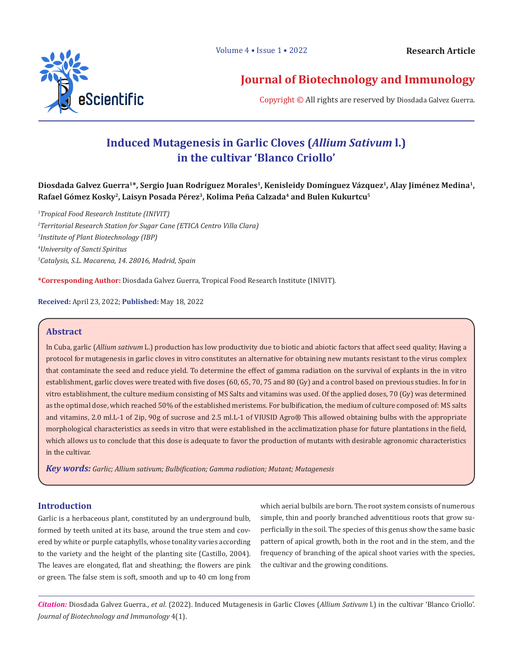

# **Journal of Biotechnology and Immunology**

Copyright © All rights are reserved by Diosdada Galvez Guerra.

# **Induced Mutagenesis in Garlic Cloves (***Allium Sativum* **l.) in the cultivar 'Blanco Criollo'**

Diosdada Galvez Guerra<sup>1\*</sup>, Sergio Juan Rodríguez Morales<sup>1</sup>, Kenisleidy Domínguez Vázquez<sup>1</sup>, Alay Jiménez Medina<sup>1</sup>, **Rafael Gómez Kosky2, Laisyn Posada Pérez3, Kolima Peña Calzada4 and Bulen Kukurtcu5**

 *Tropical Food Research Institute (INIVIT) Territorial Research Station for Sugar Cane (ETICA Centro Villa Clara) Institute of Plant Biotechnology (IBP) University of Sancti Spiritus Catalysis, S.L. Macarena, 14. 28016, Madrid, Spain* 

**\*Corresponding Author:** Diosdada Galvez Guerra, Tropical Food Research Institute (INIVIT).

**Received:** April 23, 2022; **Published:** May 18, 2022

### **Abstract**

In Cuba, garlic (*Allium sativum* L.) production has low productivity due to biotic and abiotic factors that affect seed quality; Having a protocol for mutagenesis in garlic cloves in vitro constitutes an alternative for obtaining new mutants resistant to the virus complex that contaminate the seed and reduce yield. To determine the effect of gamma radiation on the survival of explants in the in vitro establishment, garlic cloves were treated with five doses (60, 65, 70, 75 and 80 (Gy) and a control based on previous studies. In for in vitro establishment, the culture medium consisting of MS Salts and vitamins was used. Of the applied doses, 70 (Gy) was determined as the optimal dose, which reached 50% of the established meristems. For bulbification, the medium of culture composed of: MS salts and vitamins, 2.0 ml.L-1 of 2ip, 90g of sucrose and 2.5 ml.L-1 of VIUSID Agro® This allowed obtaining bulbs with the appropriate morphological characteristics as seeds in vitro that were established in the acclimatization phase for future plantations in the field, which allows us to conclude that this dose is adequate to favor the production of mutants with desirable agronomic characteristics in the cultivar.

*Key words: Garlic; Allium sativum; Bulbification; Gamma radiation; Mutant; Mutagenesis*

### **Introduction**

Garlic is a herbaceous plant, constituted by an underground bulb, formed by teeth united at its base, around the true stem and covered by white or purple cataphylls, whose tonality varies according to the variety and the height of the planting site (Castillo, 2004). The leaves are elongated, flat and sheathing; the flowers are pink or green. The false stem is soft, smooth and up to 40 cm long from

which aerial bulbils are born. The root system consists of numerous simple, thin and poorly branched adventitious roots that grow superficially in the soil. The species of this genus show the same basic pattern of apical growth, both in the root and in the stem, and the frequency of branching of the apical shoot varies with the species, the cultivar and the growing conditions.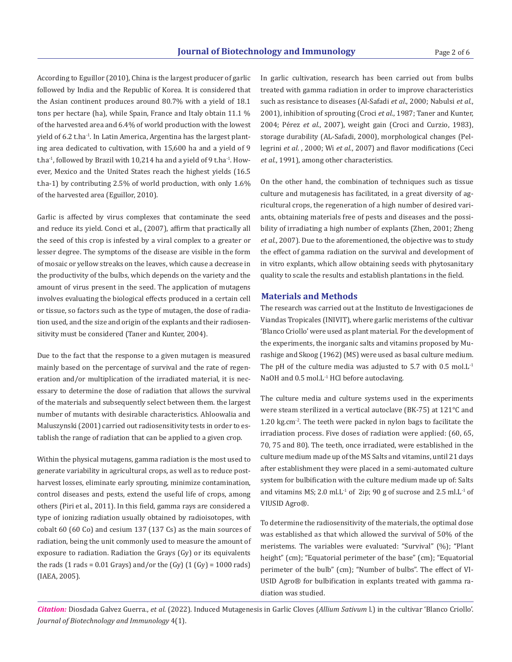According to Eguillor (2010), China is the largest producer of garlic followed by India and the Republic of Korea. It is considered that the Asian continent produces around 80.7% with a yield of 18.1 tons per hectare (ha), while Spain, France and Italy obtain 11.1 % of the harvested area and 6.4% of world production with the lowest yield of 6.2 t.ha-1. In Latin America, Argentina has the largest planting area dedicated to cultivation, with 15,600 ha and a yield of 9 t.ha $^{-1}$ , followed by Brazil with 10,214 ha and a yield of 9 t.ha $^{-1}$ . However, Mexico and the United States reach the highest yields (16.5 t.ha-1) by contributing 2.5% of world production, with only 1.6% of the harvested area (Eguillor, 2010).

Garlic is affected by virus complexes that contaminate the seed and reduce its yield. Conci et al., (2007), affirm that practically all the seed of this crop is infested by a viral complex to a greater or lesser degree. The symptoms of the disease are visible in the form of mosaic or yellow streaks on the leaves, which cause a decrease in the productivity of the bulbs, which depends on the variety and the amount of virus present in the seed. The application of mutagens involves evaluating the biological effects produced in a certain cell or tissue, so factors such as the type of mutagen, the dose of radiation used, and the size and origin of the explants and their radiosensitivity must be considered (Taner and Kunter, 2004).

Due to the fact that the response to a given mutagen is measured mainly based on the percentage of survival and the rate of regeneration and/or multiplication of the irradiated material, it is necessary to determine the dose of radiation that allows the survival of the materials and subsequently select between them. the largest number of mutants with desirable characteristics. Ahloowalia and Maluszynski (2001) carried out radiosensitivity tests in order to establish the range of radiation that can be applied to a given crop.

Within the physical mutagens, gamma radiation is the most used to generate variability in agricultural crops, as well as to reduce postharvest losses, eliminate early sprouting, minimize contamination, control diseases and pests, extend the useful life of crops, among others (Piri et al., 2011). In this field, gamma rays are considered a type of ionizing radiation usually obtained by radioisotopes, with cobalt 60 (60 Co) and cesium 137 (137 Cs) as the main sources of radiation, being the unit commonly used to measure the amount of exposure to radiation. Radiation the Grays (Gy) or its equivalents the rads  $(1 \text{ rads} = 0.01 \text{ Grays})$  and/or the  $(Gy) (1 (Gy) = 1000 \text{ rads})$ (IAEA, 2005).

In garlic cultivation, research has been carried out from bulbs treated with gamma radiation in order to improve characteristics such as resistance to diseases (Al-Safadi *et al*., 2000; Nabulsi *et al*., 2001), inhibition of sprouting (Croci *et al*., 1987; Taner and Kunter, 2004; Pérez *et al*., 2007), weight gain (Croci and Curzio, 1983), storage durability (AL-Safadi, 2000), morphological changes (Pellegrini *et al*. , 2000; Wi *et al*., 2007) and flavor modifications (Ceci *et al*., 1991), among other characteristics.

On the other hand, the combination of techniques such as tissue culture and mutagenesis has facilitated, in a great diversity of agricultural crops, the regeneration of a high number of desired variants, obtaining materials free of pests and diseases and the possibility of irradiating a high number of explants (Zhen, 2001; Zheng *et al*., 2007). Due to the aforementioned, the objective was to study the effect of gamma radiation on the survival and development of in vitro explants, which allow obtaining seeds with phytosanitary quality to scale the results and establish plantations in the field.

#### **Materials and Methods**

The research was carried out at the Instituto de Investigaciones de Viandas Tropicales (INIVIT), where garlic meristems of the cultivar 'Blanco Criollo' were used as plant material. For the development of the experiments, the inorganic salts and vitamins proposed by Murashige and Skoog (1962) (MS) were used as basal culture medium. The pH of the culture media was adjusted to 5.7 with  $0.5 \text{ mol}$ .L<sup>-1</sup> NaOH and 0.5 mol.L<sup>-1</sup> HCl before autoclaving.

The culture media and culture systems used in the experiments were steam sterilized in a vertical autoclave (BK-75) at 121°C and 1.20 kg.cm-2. The teeth were packed in nylon bags to facilitate the irradiation process. Five doses of radiation were applied: (60, 65, 70, 75 and 80). The teeth, once irradiated, were established in the culture medium made up of the MS Salts and vitamins, until 21 days after establishment they were placed in a semi-automated culture system for bulbification with the culture medium made up of: Salts and vitamins MS; 2.0 ml.L<sup>-1</sup> of 2ip; 90 g of sucrose and 2.5 ml.L<sup>-1</sup> of VIUSID Agro®.

To determine the radiosensitivity of the materials, the optimal dose was established as that which allowed the survival of 50% of the meristems. The variables were evaluated: "Survival" (%); "Plant height" (cm); "Equatorial perimeter of the base" (cm); "Equatorial perimeter of the bulb" (cm); "Number of bulbs". The effect of VI-USID Agro® for bulbification in explants treated with gamma radiation was studied.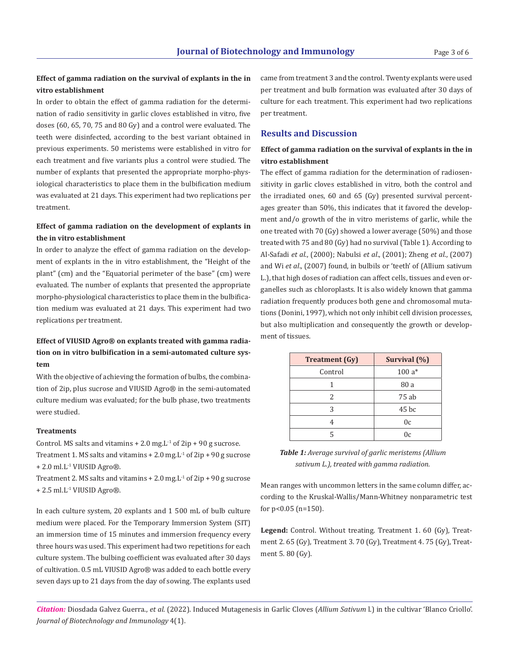# **Effect of gamma radiation on the survival of explants in the in vitro establishment**

In order to obtain the effect of gamma radiation for the determination of radio sensitivity in garlic cloves established in vitro, five doses (60, 65, 70, 75 and 80 Gy) and a control were evaluated. The teeth were disinfected, according to the best variant obtained in previous experiments. 50 meristems were established in vitro for each treatment and five variants plus a control were studied. The number of explants that presented the appropriate morpho-physiological characteristics to place them in the bulbification medium was evaluated at 21 days. This experiment had two replications per treatment.

## **Effect of gamma radiation on the development of explants in the in vitro establishment**

In order to analyze the effect of gamma radiation on the development of explants in the in vitro establishment, the "Height of the plant" (cm) and the "Equatorial perimeter of the base" (cm) were evaluated. The number of explants that presented the appropriate morpho-physiological characteristics to place them in the bulbification medium was evaluated at 21 days. This experiment had two replications per treatment.

# **Effect of VIUSID Agro® on explants treated with gamma radiation on in vitro bulbification in a semi-automated culture system**

With the objective of achieving the formation of bulbs, the combination of 2ip, plus sucrose and VIUSID Agro® in the semi-automated culture medium was evaluated; for the bulb phase, two treatments were studied.

#### **Treatments**

Control. MS salts and vitamins  $+ 2.0$  mg. L<sup>1</sup> of 2ip  $+ 90$  g sucrose. Treatment 1. MS salts and vitamins  $+ 2.0$  mg. L<sup>-1</sup> of 2ip  $+ 90$  g sucrose + 2.0 ml.L-1 VIUSID Agro®.

Treatment 2. MS salts and vitamins  $+ 2.0$  mg. L<sup>-1</sup> of 2ip  $+ 90$  g sucrose  $+ 2.5$  ml.L<sup>-1</sup> VIUSID Agro<sup>®</sup>.

In each culture system, 20 explants and 1 500 mL of bulb culture medium were placed. For the Temporary Immersion System (SIT) an immersion time of 15 minutes and immersion frequency every three hours was used. This experiment had two repetitions for each culture system. The bulbing coefficient was evaluated after 30 days of cultivation. 0.5 mL VIUSID Agro® was added to each bottle every seven days up to 21 days from the day of sowing. The explants used

came from treatment 3 and the control. Twenty explants were used per treatment and bulb formation was evaluated after 30 days of culture for each treatment. This experiment had two replications per treatment.

# **Results and Discussion**

## **Effect of gamma radiation on the survival of explants in the in vitro establishment**

The effect of gamma radiation for the determination of radiosensitivity in garlic cloves established in vitro, both the control and the irradiated ones, 60 and 65 (Gy) presented survival percentages greater than 50%, this indicates that it favored the development and/o growth of the in vitro meristems of garlic, while the one treated with 70 (Gy) showed a lower average (50%) and those treated with 75 and 80 (Gy) had no survival (Table 1). According to Al-Safadi *et al*., (2000); Nabulsi *et al*., (2001); Zheng *et al*., (2007) and Wi *et al*., (2007) found, in bulbils or 'teeth' of (Allium sativum L.), that high doses of radiation can affect cells, tissues and even organelles such as chloroplasts. It is also widely known that gamma radiation frequently produces both gene and chromosomal mutations (Donini, 1997), which not only inhibit cell division processes, but also multiplication and consequently the growth or development of tissues.

| <b>Treatment</b> (Gy) | Survival (%)   |
|-----------------------|----------------|
| Control               | $100a*$        |
|                       | 80 a           |
| 2                     | 75 ab          |
| 3                     | $45$ bc        |
| 4                     | 0 <sub>c</sub> |
| 5                     | 0c             |

| <b>Table 1:</b> Average survival of garlic meristems (Allium |
|--------------------------------------------------------------|
| sativum L.), treated with gamma radiation.                   |

Mean ranges with uncommon letters in the same column differ, according to the Kruskal-Wallis/Mann-Whitney nonparametric test for p<0.05 (n=150).

**Legend:** Control. Without treating. Treatment 1. 60 (Gy), Treatment 2. 65 (Gy), Treatment 3. 70 (Gy), Treatment 4. 75 (Gy), Treatment 5. 80 (Gy).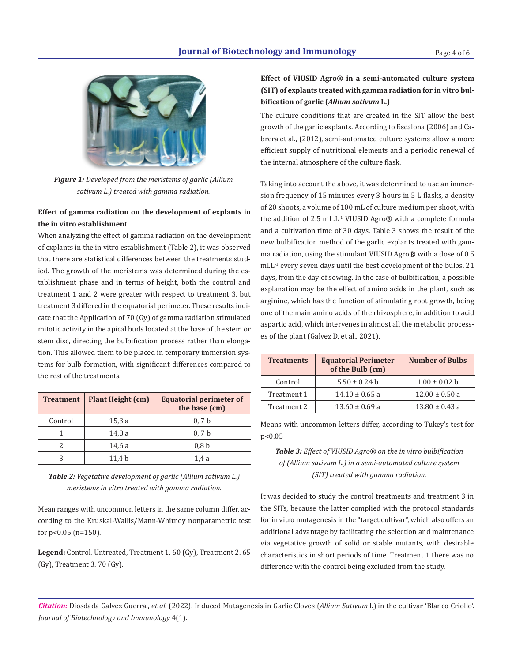

*Figure 1: Developed from the meristems of garlic (Allium sativum L.) treated with gamma radiation.*

## **Effect of gamma radiation on the development of explants in the in vitro establishment**

When analyzing the effect of gamma radiation on the development of explants in the in vitro establishment (Table 2), it was observed that there are statistical differences between the treatments studied. The growth of the meristems was determined during the establishment phase and in terms of height, both the control and treatment 1 and 2 were greater with respect to treatment 3, but treatment 3 differed in the equatorial perimeter. These results indicate that the Application of 70 (Gy) of gamma radiation stimulated mitotic activity in the apical buds located at the base of the stem or stem disc, directing the bulbification process rather than elongation. This allowed them to be placed in temporary immersion systems for bulb formation, with significant differences compared to the rest of the treatments.

| <b>Treatment</b> | Plant Height (cm) | <b>Equatorial perimeter of</b><br>the base (cm) |
|------------------|-------------------|-------------------------------------------------|
| Control          | 15.3a             | 0, 7b                                           |
|                  | 14,8a             | 0, 7b                                           |
|                  | 14,6 a            | 0.8 <sub>b</sub>                                |
|                  | 11.4 <sub>b</sub> | 1.4 a                                           |

*Table 2: Vegetative development of garlic (Allium sativum L.) meristems in vitro treated with gamma radiation.*

Mean ranges with uncommon letters in the same column differ, according to the Kruskal-Wallis/Mann-Whitney nonparametric test for p<0.05 (n=150).

**Legend:** Control. Untreated, Treatment 1. 60 (Gy), Treatment 2. 65 (Gy), Treatment 3. 70 (Gy).

# **Effect of VIUSID Agro® in a semi-automated culture system (SIT) of explants treated with gamma radiation for in vitro bulbification of garlic (***Allium sativum* **L.)**

The culture conditions that are created in the SIT allow the best growth of the garlic explants. According to Escalona (2006) and Cabrera et al., (2012), semi-automated culture systems allow a more efficient supply of nutritional elements and a periodic renewal of the internal atmosphere of the culture flask.

Taking into account the above, it was determined to use an immersion frequency of 15 minutes every 3 hours in 5 L flasks, a density of 20 shoots, a volume of 100 mL of culture medium per shoot, with the addition of 2.5 ml .L-1 VIUSID Agro® with a complete formula and a cultivation time of 30 days. Table 3 shows the result of the new bulbification method of the garlic explants treated with gamma radiation, using the stimulant VIUSID Agro® with a dose of 0.5 ml.L-1 every seven days until the best development of the bulbs. 21 days, from the day of sowing. In the case of bulbification, a possible explanation may be the effect of amino acids in the plant, such as arginine, which has the function of stimulating root growth, being one of the main amino acids of the rhizosphere, in addition to acid aspartic acid, which intervenes in almost all the metabolic processes of the plant (Galvez D. et al., 2021).

| <b>Treatments</b> | <b>Equatorial Perimeter</b><br>of the Bulb (cm) | <b>Number of Bulbs</b> |
|-------------------|-------------------------------------------------|------------------------|
| Control           | $5.50 \pm 0.24$ b                               | $1.00 \pm 0.02$ b      |
| Treatment 1       | $14.10 \pm 0.65$ a                              | $12.00 \pm 0.50$ a     |
| Treatment 2       | $13.60 \pm 0.69$ a                              | $13.80 \pm 0.43$ a     |

Means with uncommon letters differ, according to Tukey's test for p<0.05

# *Table 3: Effect of VIUSID Agro® on the in vitro bulbification of (Allium sativum L.) in a semi-automated culture system (SIT) treated with gamma radiation.*

It was decided to study the control treatments and treatment 3 in the SITs, because the latter complied with the protocol standards for in vitro mutagenesis in the "target cultivar", which also offers an additional advantage by facilitating the selection and maintenance via vegetative growth of solid or stable mutants, with desirable characteristics in short periods of time. Treatment 1 there was no difference with the control being excluded from the study.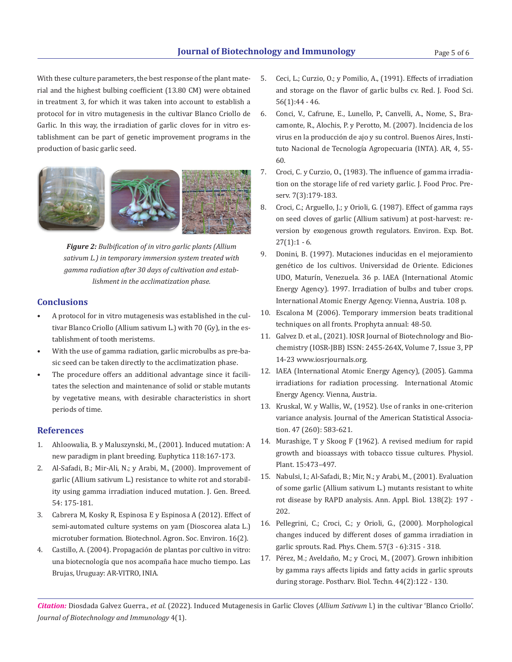With these culture parameters, the best response of the plant material and the highest bulbing coefficient (13.80 CM) were obtained in treatment 3, for which it was taken into account to establish a protocol for in vitro mutagenesis in the cultivar Blanco Criollo de Garlic. In this way, the irradiation of garlic cloves for in vitro establishment can be part of genetic improvement programs in the production of basic garlic seed.



*Figure 2: Bulbification of in vitro garlic plants (Allium sativum L.) in temporary immersion system treated with gamma radiation after 30 days of cultivation and establishment in the acclimatization phase.*

### **Conclusions**

- A protocol for in vitro mutagenesis was established in the cultivar Blanco Criollo (Allium sativum L.) with 70 (Gy), in the establishment of tooth meristems.
- With the use of gamma radiation, garlic microbulbs as pre-basic seed can be taken directly to the acclimatization phase.
- The procedure offers an additional advantage since it facilitates the selection and maintenance of solid or stable mutants by vegetative means, with desirable characteristics in short periods of time.

#### **References**

- 1. Ahloowalia, B. y Maluszynski, M., (2001). Induced mutation: A new paradigm in plant breeding. Euphytica 118:167-173.
- 2. Al-Safadi, B.; Mir-Ali, N.; y Arabi, M., (2000). Improvement of garlic (Allium sativum L.) resistance to white rot and storability using gamma irradiation induced mutation. J. Gen. Breed. 54: 175-181.
- 3. Cabrera M, Kosky R, Espinosa E y Espinosa A (2012). Effect of semi-automated culture systems on yam (Dioscorea alata L.) microtuber formation. Biotechnol. Agron. Soc. Environ. 16(2).
- 4. Castillo, A. (2004). Propagación de plantas por cultivo in vitro: una biotecnología que nos acompaña hace mucho tiempo. Las Brujas, Uruguay: AR-VITRO, INIA.
- 5. Ceci, L.; Curzio, O.; y Pomilio, A., (1991). Effects of irradiation and storage on the flavor of garlic bulbs cv. Red. J. Food Sci. 56(1):44 - 46.
- 6. Conci, V., Cafrune, E., Lunello, P., Canvelli, A., Nome, S., Bracamonte, R., Alochis, P. y Perotto, M. (2007). Incidencia de los virus en la producción de ajo y su control. Buenos Aires, Instituto Nacional de Tecnología Agropecuaria (INTA). AR, 4, 55- 60.
- 7. Croci, C. y Curzio, O., (1983). The influence of gamma irradiation on the storage life of red variety garlic. J. Food Proc. Preserv. 7(3):179-183.
- 8. Croci, C.; Arguello, J.; y Orioli, G. (1987). Effect of gamma rays on seed cloves of garlic (Allium sativum) at post-harvest: reversion by exogenous growth regulators. Environ. Exp. Bot.  $27(1):1 - 6.$
- 9. Donini, B. (1997). Mutaciones inducidas en el mejoramiento genético de los cultivos. Universidad de Oriente. Ediciones UDO, Maturín, Venezuela. 36 p. IAEA (International Atomic Energy Agency). 1997. Irradiation of bulbs and tuber crops. International Atomic Energy Agency. Vienna, Austria. 108 p.
- 10. Escalona M (2006). Temporary immersion beats traditional techniques on all fronts. Prophyta annual: 48-50.
- 11. Galvez D. et al., (2021). IOSR Journal of Biotechnology and Biochemistry (IOSR-JBB) ISSN: 2455-264X, Volume 7, Issue 3, PP 14-23 www.iosrjournals.org.
- 12. IAEA (International Atomic Energy Agency), (2005). Gamma irradiations for radiation processing. International Atomic Energy Agency. Vienna, Austria.
- 13. Kruskal, W. y Wallis, W., (1952). Use of ranks in one-criterion variance analysis. Journal of the American Statistical Association. 47 (260): 583-621.
- 14. Murashige, T y Skoog F (1962). A revised medium for rapid growth and bioassays with tobacco tissue cultures. Physiol. Plant. 15:473–497.
- 15. Nabulsi, I.; Al-Safadi, B.; Mir, N.; y Arabi, M., (2001). Evaluation of some garlic (Allium sativum L.) mutants resistant to white rot disease by RAPD analysis. Ann. Appl. Biol. 138(2): 197 - 202.
- 16. Pellegrini, C.; Croci, C.; y Orioli, G., (2000). Morphological changes induced by different doses of gamma irradiation in garlic sprouts. Rad. Phys. Chem. 57(3 - 6):315 - 318.
- 17. Pérez, M.; Aveldaño, M.; y Croci, M., (2007). Grown inhibition by gamma rays affects lipids and fatty acids in garlic sprouts during storage. Postharv. Biol. Techn. 44(2):122 - 130.